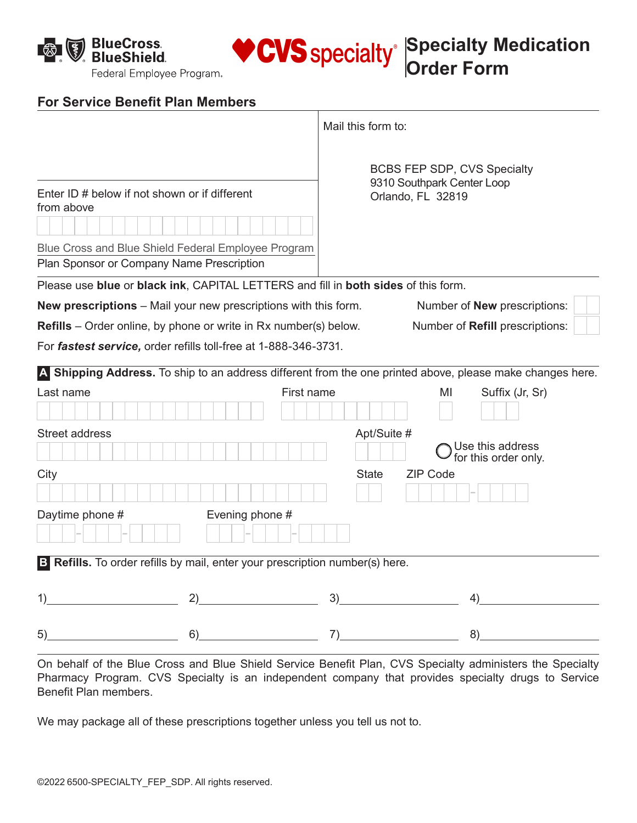$\bigcirc$